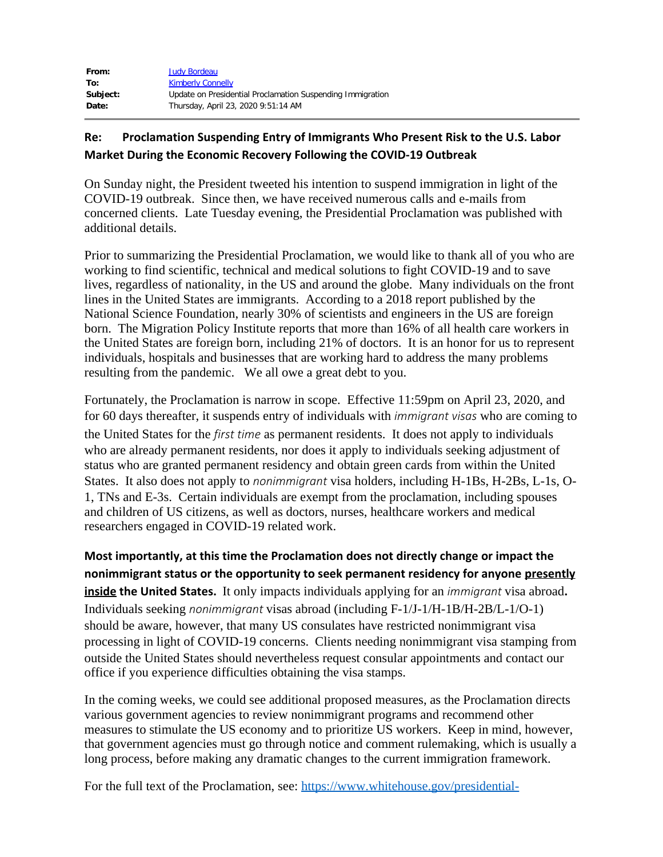| From:    | <b>Judy Bordeau</b>                                        |
|----------|------------------------------------------------------------|
| To:      | <b>Kimberly Connelly</b>                                   |
| Subject: | Update on Presidential Proclamation Suspending Immigration |
| Date:    | Thursday, April 23, 2020 9:51:14 AM                        |

## **Re: Proclamation Suspending Entry of Immigrants Who Present Risk to the U.S. Labor Market During the Economic Recovery Following the COVID-19 Outbreak**

On Sunday night, the President tweeted his intention to suspend immigration in light of the COVID-19 outbreak. Since then, we have received numerous calls and e-mails from concerned clients. Late Tuesday evening, the Presidential Proclamation was published with additional details.

Prior to summarizing the Presidential Proclamation, we would like to thank all of you who are working to find scientific, technical and medical solutions to fight COVID-19 and to save lives, regardless of nationality, in the US and around the globe. Many individuals on the front lines in the United States are immigrants. According to a 2018 report published by the National Science Foundation, nearly 30% of scientists and engineers in the US are foreign born. The Migration Policy Institute reports that more than 16% of all health care workers in the United States are foreign born, including 21% of doctors. It is an honor for us to represent individuals, hospitals and businesses that are working hard to address the many problems resulting from the pandemic. We all owe a great debt to you.

Fortunately, the Proclamation is narrow in scope. Effective 11:59pm on April 23, 2020, and for 60 days thereafter, it suspends entry of individuals with *immigrant visas* who are coming to the United States for the *first time* as permanent residents. It does not apply to individuals who are already permanent residents, nor does it apply to individuals seeking adjustment of status who are granted permanent residency and obtain green cards from within the United States. It also does not apply to *nonimmigrant* visa holders, including H-1Bs, H-2Bs, L-1s, O-1, TNs and E-3s. Certain individuals are exempt from the proclamation, including spouses and children of US citizens, as well as doctors, nurses, healthcare workers and medical researchers engaged in COVID-19 related work.

**Most importantly, at this time the Proclamation does not directly change or impact the nonimmigrant status or the opportunity to seek permanent residency for anyone presently inside the United States.** It only impacts individuals applying for an *immigrant* visa abroad**.** Individuals seeking *nonimmigrant* visas abroad (including F-1/J-1/H-1B/H-2B/L-1/O-1) should be aware, however, that many US consulates have restricted nonimmigrant visa processing in light of COVID-19 concerns. Clients needing nonimmigrant visa stamping from outside the United States should nevertheless request consular appointments and contact our office if you experience difficulties obtaining the visa stamps.

In the coming weeks, we could see additional proposed measures, as the Proclamation directs various government agencies to review nonimmigrant programs and recommend other measures to stimulate the US economy and to prioritize US workers. Keep in mind, however, that government agencies must go through notice and comment rulemaking, which is usually a long process, before making any dramatic changes to the current immigration framework.

For the full text of the Proclamation, see: [https://www.whitehouse.gov/presidential-](http://protect-us.mimecast.com/s/9KJpCDk2JluMR8zgc56uZo?domain=u10305917.ct.sendgrid.net)